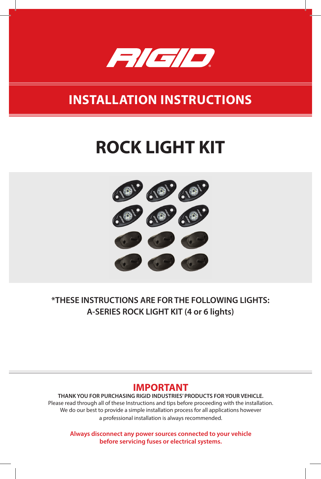

## **INSTALLATION INSTRUCTIONS**

# **ROCK LIGHT KIT**



**\*THESE INSTRUCTIONS ARE FOR THE FOLLOWING LIGHTS: A-SERIES ROCK LIGHT KIT (4 or 6 lights)**

#### **IMPORTANT**

**THANK YOU FOR PURCHASING RIGID INDUSTRIES' PRODUCTS FOR YOUR VEHICLE.** Please read through all of these Instructions and tips before proceeding with the installation. We do our best to provide a simple installation process for all applications however a professional installation is always recommended.

**Always disconnect any power sources connected to your vehicle before servicing fuses or electrical systems.**